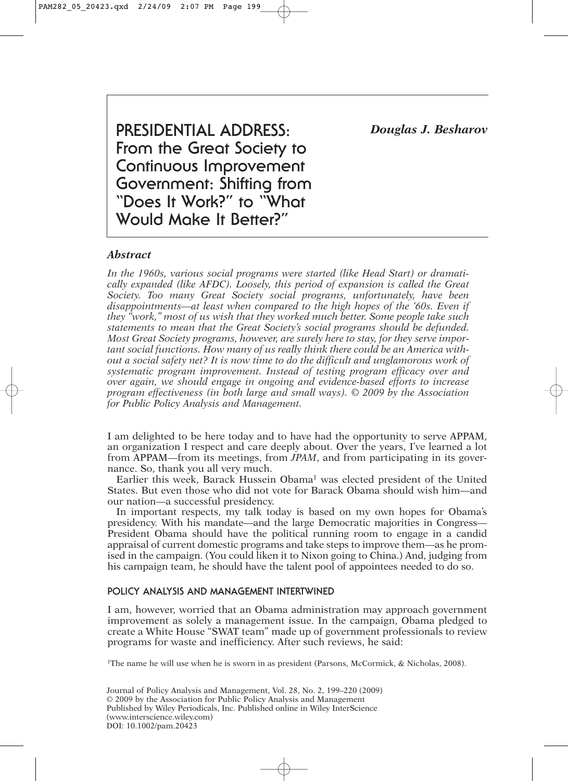# *Douglas J. Besharov*

**PRESIDENTIAL ADDRESS: From the Great Society to Continuous Improvement Government: Shifting from "Does It Work?" to "What Would Make It Better?"**

# *Abstract*

*In the 1960s, various social programs were started (like Head Start) or dramatically expanded (like AFDC). Loosely, this period of expansion is called the Great Society. Too many Great Society social programs, unfortunately, have been disappointments—at least when compared to the high hopes of the '60s. Even if they "work," most of us wish that they worked much better. Some people take such statements to mean that the Great Society's social programs should be defunded. Most Great Society programs, however, are surely here to stay, for they serve important social functions. How many of us really think there could be an America without a social safety net? It is now time to do the difficult and unglamorous work of systematic program improvement. Instead of testing program efficacy over and over again, we should engage in ongoing and evidence-based efforts to increase program effectiveness (in both large and small ways). © 2009 by the Association for Public Policy Analysis and Management.*

I am delighted to be here today and to have had the opportunity to serve APPAM, an organization I respect and care deeply about. Over the years, I've learned a lot from APPAM—from its meetings, from *JPAM*, and from participating in its governance. So, thank you all very much.

Earlier this week, Barack Hussein Obama<sup>1</sup> was elected president of the United States. But even those who did not vote for Barack Obama should wish him—and our nation—a successful presidency.

In important respects, my talk today is based on my own hopes for Obama's presidency. With his mandate—and the large Democratic majorities in Congress— President Obama should have the political running room to engage in a candid appraisal of current domestic programs and take steps to improve them—as he promised in the campaign. (You could liken it to Nixon going to China.) And, judging from his campaign team, he should have the talent pool of appointees needed to do so.

### **POLICY ANALYSIS AND MANAGEMENT INTERTWINED**

I am, however, worried that an Obama administration may approach government improvement as solely a management issue. In the campaign, Obama pledged to create a White House "SWAT team" made up of government professionals to review programs for waste and inefficiency. After such reviews, he said:

<sup>1</sup>The name he will use when he is sworn in as president (Parsons, McCormick, & Nicholas, 2008).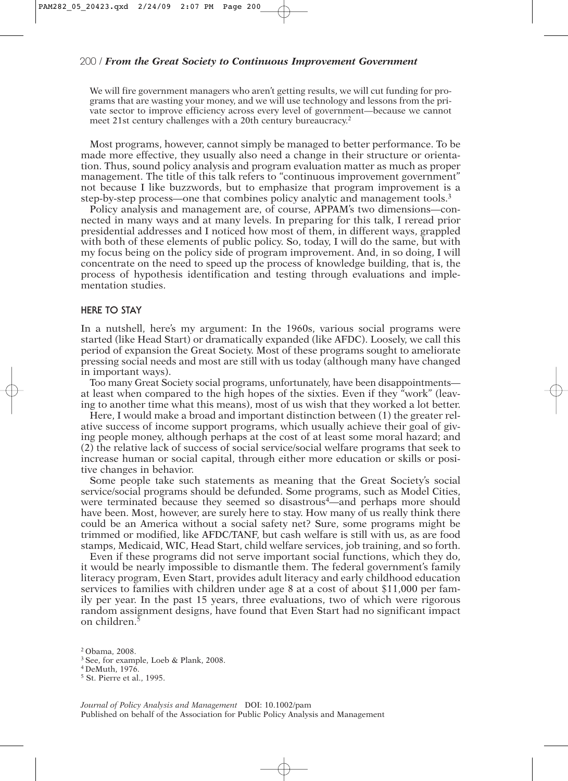We will fire government managers who aren't getting results, we will cut funding for programs that are wasting your money, and we will use technology and lessons from the private sector to improve efficiency across every level of government—because we cannot meet 21st century challenges with a 20th century bureaucracy.<sup>2</sup>

Most programs, however, cannot simply be managed to better performance. To be made more effective, they usually also need a change in their structure or orientation. Thus, sound policy analysis and program evaluation matter as much as proper management. The title of this talk refers to "continuous improvement government" not because I like buzzwords, but to emphasize that program improvement is a step-by-step process—one that combines policy analytic and management tools.<sup>3</sup>

Policy analysis and management are, of course, APPAM's two dimensions—connected in many ways and at many levels. In preparing for this talk, I reread prior presidential addresses and I noticed how most of them, in different ways, grappled with both of these elements of public policy. So, today, I will do the same, but with my focus being on the policy side of program improvement. And, in so doing, I will concentrate on the need to speed up the process of knowledge building, that is, the process of hypothesis identification and testing through evaluations and implementation studies.

### **HERE TO STAY**

In a nutshell, here's my argument: In the 1960s, various social programs were started (like Head Start) or dramatically expanded (like AFDC). Loosely, we call this period of expansion the Great Society. Most of these programs sought to ameliorate pressing social needs and most are still with us today (although many have changed in important ways).

Too many Great Society social programs, unfortunately, have been disappointments at least when compared to the high hopes of the sixties. Even if they "work" (leaving to another time what this means), most of us wish that they worked a lot better.

Here, I would make a broad and important distinction between (1) the greater relative success of income support programs, which usually achieve their goal of giving people money, although perhaps at the cost of at least some moral hazard; and (2) the relative lack of success of social service/social welfare programs that seek to increase human or social capital, through either more education or skills or positive changes in behavior.

Some people take such statements as meaning that the Great Society's social service/social programs should be defunded. Some programs, such as Model Cities, were terminated because they seemed so disastrous<sup>4</sup>—and perhaps more should have been. Most, however, are surely here to stay. How many of us really think there could be an America without a social safety net? Sure, some programs might be trimmed or modified, like AFDC/TANF, but cash welfare is still with us, as are food stamps, Medicaid, WIC, Head Start, child welfare services, job training, and so forth.

Even if these programs did not serve important social functions, which they do, it would be nearly impossible to dismantle them. The federal government's family literacy program, Even Start, provides adult literacy and early childhood education services to families with children under age 8 at a cost of about \$11,000 per family per year. In the past 15 years, three evaluations, two of which were rigorous random assignment designs, have found that Even Start had no significant impact on children.5

<sup>2</sup> Obama, 2008.

<sup>3</sup> See, for example, Loeb & Plank, 2008.

<sup>4</sup> DeMuth, 1976.

<sup>5</sup> St. Pierre et al., 1995.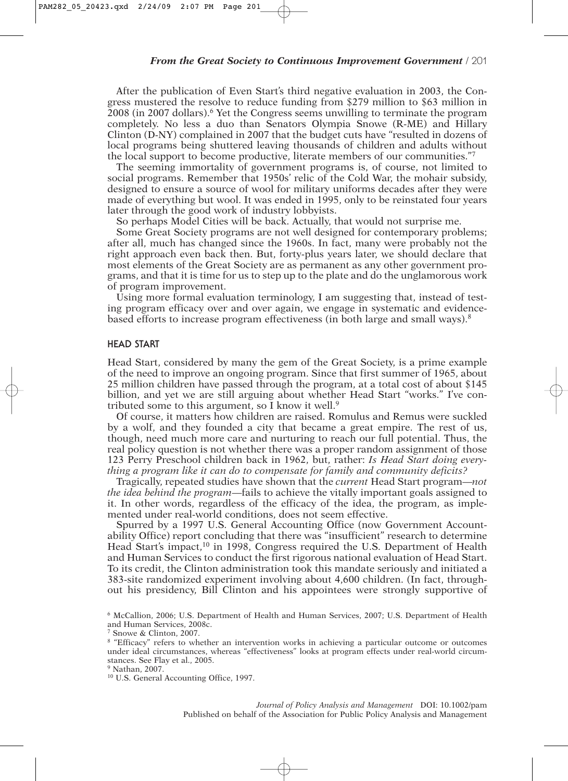After the publication of Even Start's third negative evaluation in 2003, the Congress mustered the resolve to reduce funding from \$279 million to \$63 million in 2008 (in 2007 dollars).6 Yet the Congress seems unwilling to terminate the program completely. No less a duo than Senators Olympia Snowe (R-ME) and Hillary Clinton (D-NY) complained in 2007 that the budget cuts have "resulted in dozens of local programs being shuttered leaving thousands of children and adults without the local support to become productive, literate members of our communities."7

The seeming immortality of government programs is, of course, not limited to social programs. Remember that 1950s' relic of the Cold War, the mohair subsidy, designed to ensure a source of wool for military uniforms decades after they were made of everything but wool. It was ended in 1995, only to be reinstated four years later through the good work of industry lobbyists.

So perhaps Model Cities will be back. Actually, that would not surprise me.

Some Great Society programs are not well designed for contemporary problems; after all, much has changed since the 1960s. In fact, many were probably not the right approach even back then. But, forty-plus years later, we should declare that most elements of the Great Society are as permanent as any other government programs, and that it is time for us to step up to the plate and do the unglamorous work of program improvement.

Using more formal evaluation terminology, I am suggesting that, instead of testing program efficacy over and over again, we engage in systematic and evidencebased efforts to increase program effectiveness (in both large and small ways).8

#### **HEAD START**

Head Start, considered by many the gem of the Great Society, is a prime example of the need to improve an ongoing program. Since that first summer of 1965, about 25 million children have passed through the program, at a total cost of about \$145 billion, and yet we are still arguing about whether Head Start "works." I've contributed some to this argument, so  $\overline{I}$  know it well.<sup>9</sup>

Of course, it matters how children are raised. Romulus and Remus were suckled by a wolf, and they founded a city that became a great empire. The rest of us, though, need much more care and nurturing to reach our full potential. Thus, the real policy question is not whether there was a proper random assignment of those 123 Perry Preschool children back in 1962, but, rather: *Is Head Start doing everything a program like it can do to compensate for family and community deficits?*

Tragically, repeated studies have shown that the *current* Head Start program—*not the idea behind the program*—fails to achieve the vitally important goals assigned to it. In other words, regardless of the efficacy of the idea, the program, as implemented under real-world conditions, does not seem effective.

Spurred by a 1997 U.S. General Accounting Office (now Government Accountability Office) report concluding that there was "insufficient" research to determine Head Start's impact,<sup>10</sup> in 1998, Congress required the U.S. Department of Health and Human Services to conduct the first rigorous national evaluation of Head Start. To its credit, the Clinton administration took this mandate seriously and initiated a 383-site randomized experiment involving about 4,600 children. (In fact, throughout his presidency, Bill Clinton and his appointees were strongly supportive of

<sup>6</sup> McCallion, 2006; U.S. Department of Health and Human Services, 2007; U.S. Department of Health and Human Services, 2008c.

<sup>7</sup> Snowe & Clinton, 2007.

<sup>8</sup> "Efficacy" refers to whether an intervention works in achieving a particular outcome or outcomes under ideal circumstances, whereas "effectiveness" looks at program effects under real-world circumstances. See Flay et al., 2005.

<sup>9</sup> Nathan, 2007.

<sup>10</sup> U.S. General Accounting Office, 1997.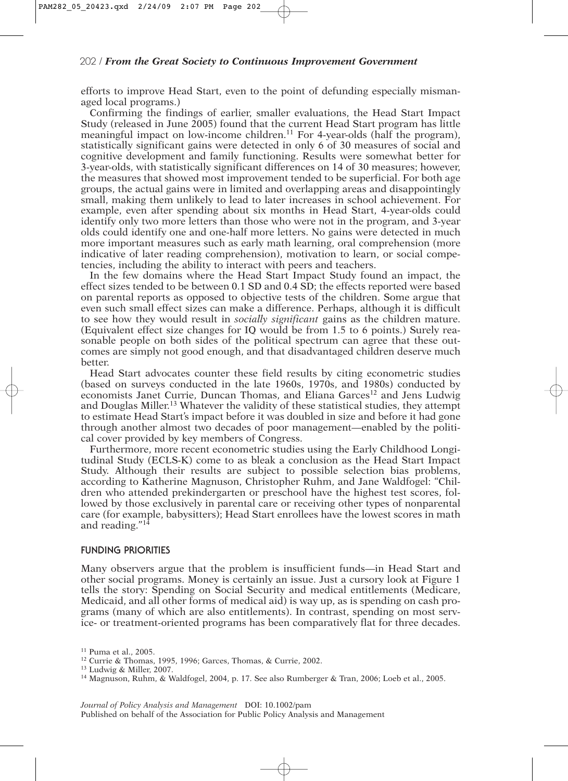efforts to improve Head Start, even to the point of defunding especially mismanaged local programs.)

Confirming the findings of earlier, smaller evaluations, the Head Start Impact Study (released in June 2005) found that the current Head Start program has little meaningful impact on low-income children.<sup>11</sup> For 4-year-olds (half the program), statistically significant gains were detected in only 6 of 30 measures of social and cognitive development and family functioning. Results were somewhat better for 3-year-olds, with statistically significant differences on 14 of 30 measures; however, the measures that showed most improvement tended to be superficial. For both age groups, the actual gains were in limited and overlapping areas and disappointingly small, making them unlikely to lead to later increases in school achievement. For example, even after spending about six months in Head Start, 4-year-olds could identify only two more letters than those who were not in the program, and 3-year olds could identify one and one-half more letters. No gains were detected in much more important measures such as early math learning, oral comprehension (more indicative of later reading comprehension), motivation to learn, or social competencies, including the ability to interact with peers and teachers.

In the few domains where the Head Start Impact Study found an impact, the effect sizes tended to be between 0.1 SD and 0.4 SD; the effects reported were based on parental reports as opposed to objective tests of the children. Some argue that even such small effect sizes can make a difference. Perhaps, although it is difficult to see how they would result in *socially significant* gains as the children mature. (Equivalent effect size changes for IQ would be from 1.5 to 6 points.) Surely reasonable people on both sides of the political spectrum can agree that these outcomes are simply not good enough, and that disadvantaged children deserve much better.

Head Start advocates counter these field results by citing econometric studies (based on surveys conducted in the late 1960s, 1970s, and 1980s) conducted by economists Janet Currie, Duncan Thomas, and Eliana Garces<sup>12</sup> and Jens Ludwig and Douglas Miller.13 Whatever the validity of these statistical studies, they attempt to estimate Head Start's impact before it was doubled in size and before it had gone through another almost two decades of poor management—enabled by the political cover provided by key members of Congress.

Furthermore, more recent econometric studies using the Early Childhood Longitudinal Study (ECLS-K) come to as bleak a conclusion as the Head Start Impact Study. Although their results are subject to possible selection bias problems, according to Katherine Magnuson, Christopher Ruhm, and Jane Waldfogel: "Children who attended prekindergarten or preschool have the highest test scores, followed by those exclusively in parental care or receiving other types of nonparental care (for example, babysitters); Head Start enrollees have the lowest scores in math and reading."14

### **FUNDING PRIORITIES**

Many observers argue that the problem is insufficient funds—in Head Start and other social programs. Money is certainly an issue. Just a cursory look at Figure 1 tells the story: Spending on Social Security and medical entitlements (Medicare, Medicaid, and all other forms of medical aid) is way up, as is spending on cash programs (many of which are also entitlements). In contrast, spending on most service- or treatment-oriented programs has been comparatively flat for three decades.

<sup>11</sup> Puma et al., 2005.

<sup>12</sup> Currie & Thomas, 1995, 1996; Garces, Thomas, & Currie, 2002.

<sup>13</sup> Ludwig & Miller, 2007.

<sup>14</sup> Magnuson, Ruhm, & Waldfogel, 2004, p. 17. See also Rumberger & Tran, 2006; Loeb et al., 2005.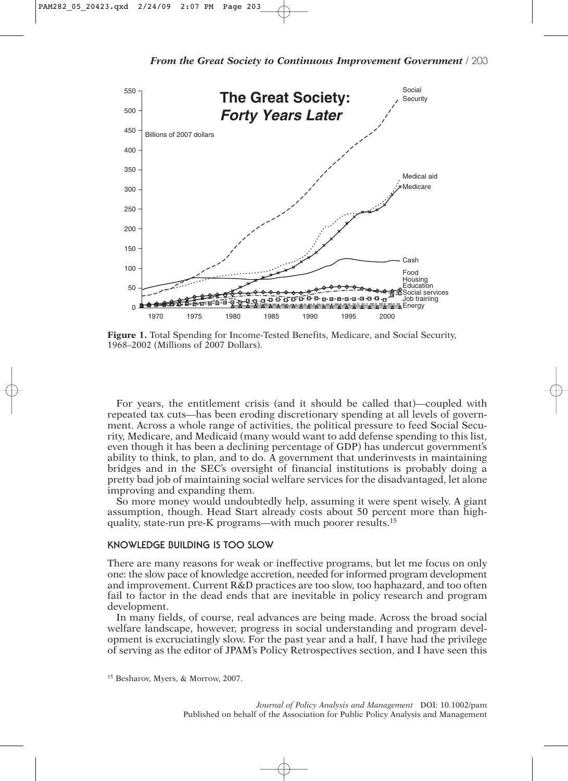

**Figure 1.** Total Spending for Income-Tested Benefits, Medicare, and Social Security, 1968–2002 (Millions of 2007 Dollars).

For years, the entitlement crisis (and it should be called that)—coupled with repeated tax cuts—has been eroding discretionary spending at all levels of government. Across a whole range of activities, the political pressure to feed Social Security, Medicare, and Medicaid (many would want to add defense spending to this list, even though it has been a declining percentage of GDP) has undercut government's ability to think, to plan, and to do. A government that underinvests in maintaining bridges and in the SEC's oversight of financial institutions is probably doing a pretty bad job of maintaining social welfare services for the disadvantaged, let alone improving and expanding them.

So more money would undoubtedly help, assuming it were spent wisely. A giant assumption, though. Head Start already costs about 50 percent more than highquality, state-run pre-K programs—with much poorer results.15

#### **KNOWLEDGE BUILDING IS TOO SLOW**

There are many reasons for weak or ineffective programs, but let me focus on only one: the slow pace of knowledge accretion, needed for informed program development and improvement. Current R&D practices are too slow, too haphazard, and too often fail to factor in the dead ends that are inevitable in policy research and program development.

In many fields, of course, real advances are being made. Across the broad social welfare landscape, however, progress in social understanding and program development is excruciatingly slow. For the past year and a half, I have had the privilege of serving as the editor of JPAM's Policy Retrospectives section, and I have seen this

<sup>15</sup> Besharov, Myers, & Morrow, 2007.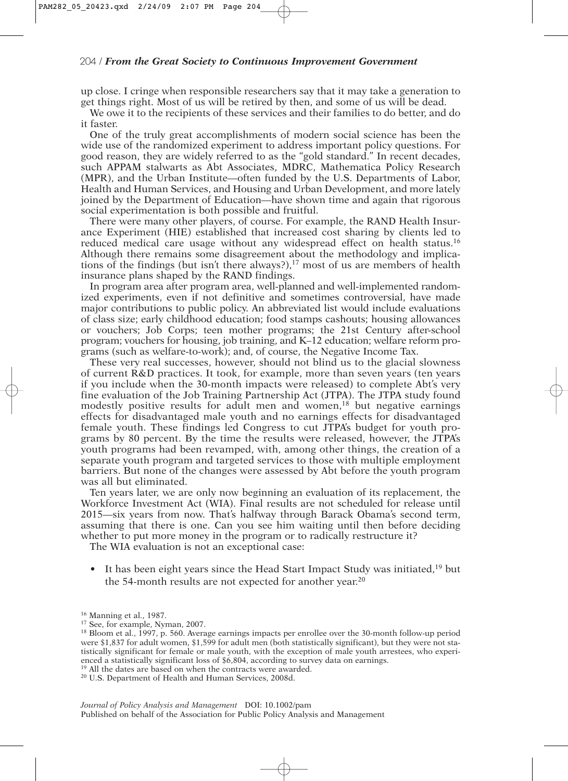up close. I cringe when responsible researchers say that it may take a generation to get things right. Most of us will be retired by then, and some of us will be dead.

We owe it to the recipients of these services and their families to do better, and do it faster.

One of the truly great accomplishments of modern social science has been the wide use of the randomized experiment to address important policy questions. For good reason, they are widely referred to as the "gold standard." In recent decades, such APPAM stalwarts as Abt Associates, MDRC, Mathematica Policy Research (MPR), and the Urban Institute—often funded by the U.S. Departments of Labor, Health and Human Services, and Housing and Urban Development, and more lately joined by the Department of Education—have shown time and again that rigorous social experimentation is both possible and fruitful.

There were many other players, of course. For example, the RAND Health Insurance Experiment (HIE) established that increased cost sharing by clients led to reduced medical care usage without any widespread effect on health status.16 Although there remains some disagreement about the methodology and implications of the findings (but isn't there always?), $17 \text{ most of us are members of health}$ insurance plans shaped by the RAND findings.

In program area after program area, well-planned and well-implemented randomized experiments, even if not definitive and sometimes controversial, have made major contributions to public policy. An abbreviated list would include evaluations of class size; early childhood education; food stamps cashouts; housing allowances or vouchers; Job Corps; teen mother programs; the 21st Century after-school program; vouchers for housing, job training, and K–12 education; welfare reform programs (such as welfare-to-work); and, of course, the Negative Income Tax.

These very real successes, however, should not blind us to the glacial slowness of current R&D practices. It took, for example, more than seven years (ten years if you include when the 30-month impacts were released) to complete Abt's very fine evaluation of the Job Training Partnership Act (JTPA). The JTPA study found modestly positive results for adult men and women,<sup>18</sup> but negative earnings effects for disadvantaged male youth and no earnings effects for disadvantaged female youth. These findings led Congress to cut JTPA's budget for youth programs by 80 percent. By the time the results were released, however, the JTPA's youth programs had been revamped, with, among other things, the creation of a separate youth program and targeted services to those with multiple employment barriers. But none of the changes were assessed by Abt before the youth program was all but eliminated.

Ten years later, we are only now beginning an evaluation of its replacement, the Workforce Investment Act (WIA). Final results are not scheduled for release until 2015—six years from now. That's halfway through Barack Obama's second term, assuming that there is one. Can you see him waiting until then before deciding whether to put more money in the program or to radically restructure it?

The WIA evaluation is not an exceptional case:

• It has been eight years since the Head Start Impact Study was initiated,<sup>19</sup> but the 54-month results are not expected for another year.<sup>20</sup>

<sup>19</sup> All the dates are based on when the contracts were awarded.

<sup>20</sup> U.S. Department of Health and Human Services, 2008d.

<sup>16</sup> Manning et al., 1987.

<sup>17</sup> See, for example, Nyman, 2007.

<sup>18</sup> Bloom et al., 1997, p. 560. Average earnings impacts per enrollee over the 30-month follow-up period were \$1,837 for adult women, \$1,599 for adult men (both statistically significant), but they were not statistically significant for female or male youth, with the exception of male youth arrestees, who experienced a statistically significant loss of \$6,804, according to survey data on earnings.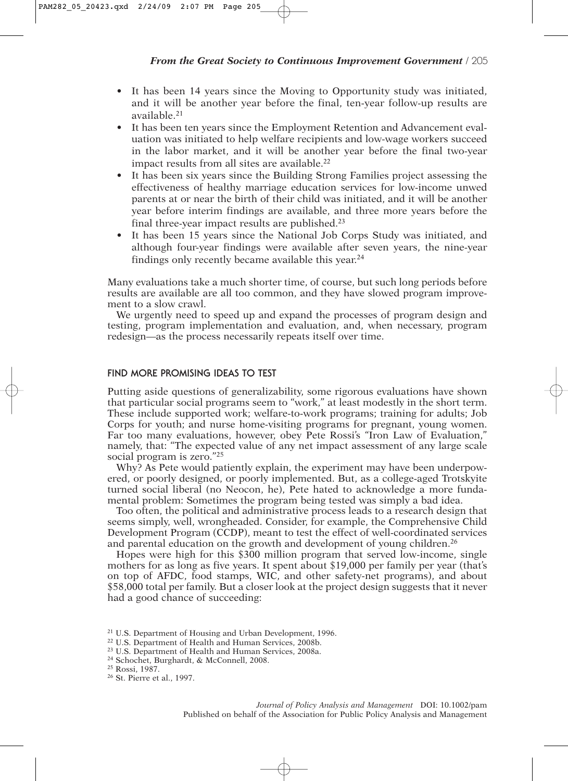- It has been 14 years since the Moving to Opportunity study was initiated, and it will be another year before the final, ten-year follow-up results are available.21
- It has been ten years since the Employment Retention and Advancement evaluation was initiated to help welfare recipients and low-wage workers succeed in the labor market, and it will be another year before the final two-year impact results from all sites are available.<sup>22</sup>
- It has been six years since the Building Strong Families project assessing the effectiveness of healthy marriage education services for low-income unwed parents at or near the birth of their child was initiated, and it will be another year before interim findings are available, and three more years before the final three-year impact results are published.23
- It has been 15 years since the National Job Corps Study was initiated, and although four-year findings were available after seven years, the nine-year findings only recently became available this year.<sup>24</sup>

Many evaluations take a much shorter time, of course, but such long periods before results are available are all too common, and they have slowed program improvement to a slow crawl.

We urgently need to speed up and expand the processes of program design and testing, program implementation and evaluation, and, when necessary, program redesign—as the process necessarily repeats itself over time.

# **FIND MORE PROMISING IDEAS TO TEST**

Putting aside questions of generalizability, some rigorous evaluations have shown that particular social programs seem to "work," at least modestly in the short term. These include supported work; welfare-to-work programs; training for adults; Job Corps for youth; and nurse home-visiting programs for pregnant, young women. Far too many evaluations, however, obey Pete Rossi's "Iron Law of Evaluation," namely, that: "The expected value of any net impact assessment of any large scale social program is zero."25

Why? As Pete would patiently explain, the experiment may have been underpowered, or poorly designed, or poorly implemented. But, as a college-aged Trotskyite turned social liberal (no Neocon, he), Pete hated to acknowledge a more fundamental problem: Sometimes the program being tested was simply a bad idea.

Too often, the political and administrative process leads to a research design that seems simply, well, wrongheaded. Consider, for example, the Comprehensive Child Development Program (CCDP), meant to test the effect of well-coordinated services and parental education on the growth and development of young children.<sup>26</sup>

Hopes were high for this \$300 million program that served low-income, single mothers for as long as five years. It spent about \$19,000 per family per year (that's on top of AFDC, food stamps, WIC, and other safety-net programs), and about \$58,000 total per family. But a closer look at the project design suggests that it never had a good chance of succeeding:

- <sup>21</sup> U.S. Department of Housing and Urban Development, 1996.
- <sup>22</sup> U.S. Department of Health and Human Services, 2008b.
- <sup>23</sup> U.S. Department of Health and Human Services, 2008a.
- <sup>24</sup> Schochet, Burghardt, & McConnell, 2008.

<sup>25</sup> Rossi, 1987.

<sup>26</sup> St. Pierre et al., 1997.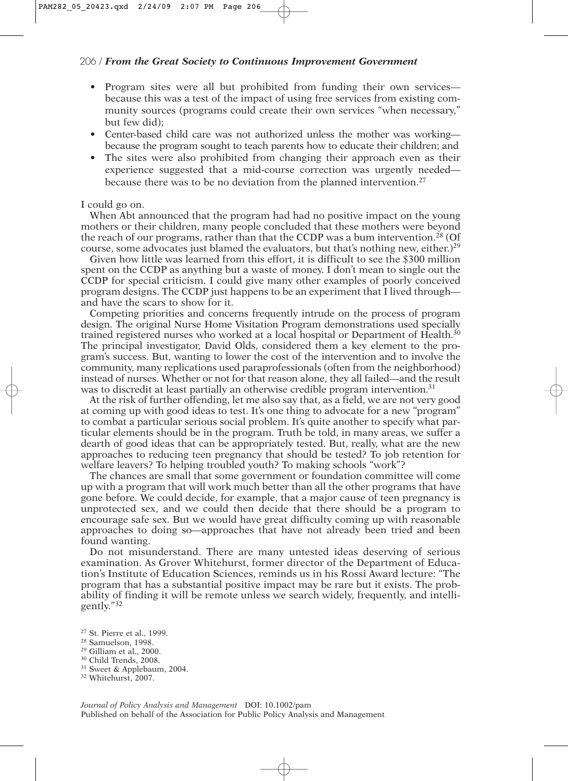- Program sites were all but prohibited from funding their own services because this was a test of the impact of using free services from existing community sources (programs could create their own services "when necessary," but few did);
- Center-based child care was not authorized unless the mother was working because the program sought to teach parents how to educate their children; and
- The sites were also prohibited from changing their approach even as their experience suggested that a mid-course correction was urgently needed because there was to be no deviation from the planned intervention.<sup>27</sup>

### I could go on.

When Abt announced that the program had had no positive impact on the young mothers or their children, many people concluded that these mothers were beyond the reach of our programs, rather than that the CCDP was a bum intervention.<sup>28</sup> (Of course, some advocates just blamed the evaluators, but that's nothing new, either.)29

Given how little was learned from this effort, it is difficult to see the \$300 million spent on the CCDP as anything but a waste of money. I don't mean to single out the CCDP for special criticism. I could give many other examples of poorly conceived program designs. The CCDP just happens to be an experiment that I lived through and have the scars to show for it.

Competing priorities and concerns frequently intrude on the process of program design. The original Nurse Home Visitation Program demonstrations used specially trained registered nurses who worked at a local hospital or Department of Health.30 The principal investigator, David Olds, considered them a key element to the program's success. But, wanting to lower the cost of the intervention and to involve the community, many replications used paraprofessionals (often from the neighborhood) instead of nurses. Whether or not for that reason alone, they all failed—and the result was to discredit at least partially an otherwise credible program intervention.<sup>31</sup>

At the risk of further offending, let me also say that, as a field, we are not very good at coming up with good ideas to test. It's one thing to advocate for a new "program" to combat a particular serious social problem. It's quite another to specify what particular elements should be in the program. Truth be told, in many areas, we suffer a dearth of good ideas that can be appropriately tested. But, really, what are the new approaches to reducing teen pregnancy that should be tested? To job retention for welfare leavers? To helping troubled youth? To making schools "work"?

The chances are small that some government or foundation committee will come up with a program that will work much better than all the other programs that have gone before. We could decide, for example, that a major cause of teen pregnancy is unprotected sex, and we could then decide that there should be a program to encourage safe sex. But we would have great difficulty coming up with reasonable approaches to doing so—approaches that have not already been tried and been found wanting.

Do not misunderstand. There are many untested ideas deserving of serious examination. As Grover Whitehurst, former director of the Department of Education's Institute of Education Sciences, reminds us in his Rossi Award lecture: "The program that has a substantial positive impact may be rare but it exists. The probability of finding it will be remote unless we search widely, frequently, and intelligently."32

<sup>27</sup> St. Pierre et al., 1999.

<sup>28</sup> Samuelson, 1998.

<sup>29</sup> Gilliam et al., 2000.

<sup>30</sup> Child Trends, 2008.

<sup>31</sup> Sweet & Applebaum, 2004.

<sup>32</sup> Whitehurst, 2007.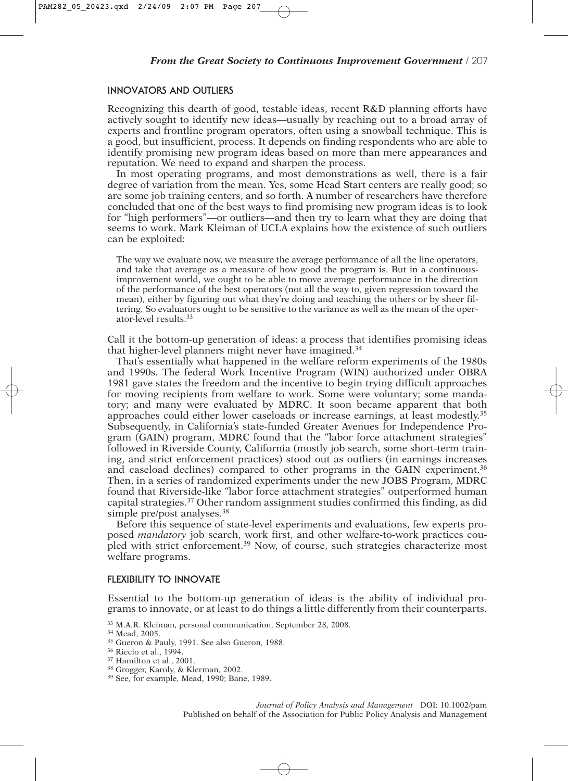### **INNOVATORS AND OUTLIERS**

Recognizing this dearth of good, testable ideas, recent R&D planning efforts have actively sought to identify new ideas—usually by reaching out to a broad array of experts and frontline program operators, often using a snowball technique. This is a good, but insufficient, process. It depends on finding respondents who are able to identify promising new program ideas based on more than mere appearances and reputation. We need to expand and sharpen the process.

In most operating programs, and most demonstrations as well, there is a fair degree of variation from the mean. Yes, some Head Start centers are really good; so are some job training centers, and so forth. A number of researchers have therefore concluded that one of the best ways to find promising new program ideas is to look for "high performers"—or outliers—and then try to learn what they are doing that seems to work. Mark Kleiman of UCLA explains how the existence of such outliers can be exploited:

The way we evaluate now, we measure the average performance of all the line operators, and take that average as a measure of how good the program is. But in a continuousimprovement world, we ought to be able to move average performance in the direction of the performance of the best operators (not all the way to, given regression toward the mean), either by figuring out what they're doing and teaching the others or by sheer filtering. So evaluators ought to be sensitive to the variance as well as the mean of the operator-level results.33

Call it the bottom-up generation of ideas: a process that identifies promising ideas that higher-level planners might never have imagined.34

That's essentially what happened in the welfare reform experiments of the 1980s and 1990s. The federal Work Incentive Program (WIN) authorized under OBRA 1981 gave states the freedom and the incentive to begin trying difficult approaches for moving recipients from welfare to work. Some were voluntary; some mandatory; and many were evaluated by MDRC. It soon became apparent that both approaches could either lower caseloads or increase earnings, at least modestly.35 Subsequently, in California's state-funded Greater Avenues for Independence Program (GAIN) program, MDRC found that the "labor force attachment strategies" followed in Riverside County, California (mostly job search, some short-term training, and strict enforcement practices) stood out as outliers (in earnings increases and caseload declines) compared to other programs in the GAIN experiment.36 Then, in a series of randomized experiments under the new JOBS Program, MDRC found that Riverside-like "labor force attachment strategies" outperformed human capital strategies.37 Other random assignment studies confirmed this finding, as did simple pre/post analyses.38

Before this sequence of state-level experiments and evaluations, few experts proposed *mandatory* job search, work first, and other welfare-to-work practices coupled with strict enforcement.<sup>39</sup> Now, of course, such strategies characterize most welfare programs.

#### **FLEXIBILITY TO INNOVATE**

Essential to the bottom-up generation of ideas is the ability of individual programs to innovate, or at least to do things a little differently from their counterparts.

<sup>33</sup> M.A.R. Kleiman, personal communication, September 28, 2008.

- <sup>36</sup> Riccio et al., 1994.
- <sup>37</sup> Hamilton et al., 2001.
- <sup>38</sup> Grogger, Karoly, & Klerman, 2002.

<sup>34</sup> Mead, 2005.

<sup>35</sup> Gueron & Pauly, 1991. See also Gueron, 1988.

<sup>39</sup> See, for example, Mead, 1990; Bane, 1989.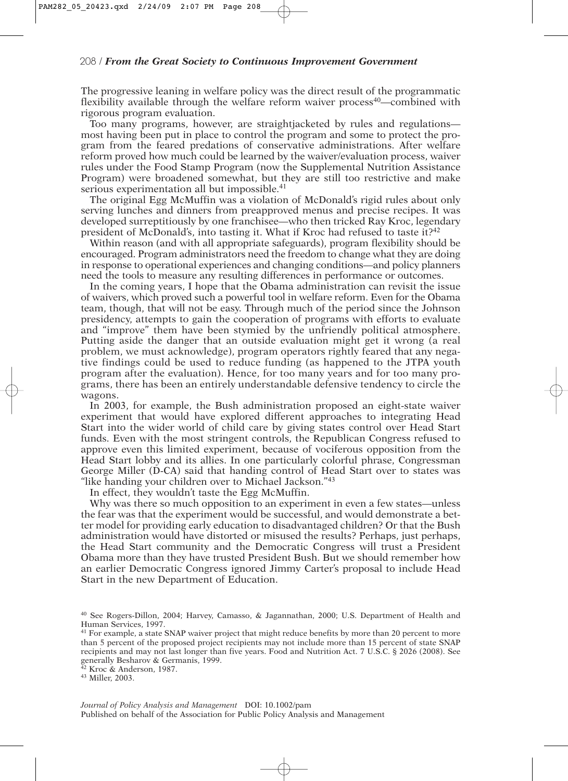The progressive leaning in welfare policy was the direct result of the programmatic flexibility available through the welfare reform waiver process<sup>40</sup>—combined with rigorous program evaluation.

Too many programs, however, are straightjacketed by rules and regulations most having been put in place to control the program and some to protect the program from the feared predations of conservative administrations. After welfare reform proved how much could be learned by the waiver/evaluation process, waiver rules under the Food Stamp Program (now the Supplemental Nutrition Assistance Program) were broadened somewhat, but they are still too restrictive and make serious experimentation all but impossible.<sup>41</sup>

The original Egg McMuffin was a violation of McDonald's rigid rules about only serving lunches and dinners from preapproved menus and precise recipes. It was developed surreptitiously by one franchisee—who then tricked Ray Kroc, legendary president of McDonald's, into tasting it. What if Kroc had refused to taste it?<sup>42</sup>

Within reason (and with all appropriate safeguards), program flexibility should be encouraged. Program administrators need the freedom to change what they are doing in response to operational experiences and changing conditions—and policy planners need the tools to measure any resulting differences in performance or outcomes.

In the coming years, I hope that the Obama administration can revisit the issue of waivers, which proved such a powerful tool in welfare reform. Even for the Obama team, though, that will not be easy. Through much of the period since the Johnson presidency, attempts to gain the cooperation of programs with efforts to evaluate and "improve" them have been stymied by the unfriendly political atmosphere. Putting aside the danger that an outside evaluation might get it wrong (a real problem, we must acknowledge), program operators rightly feared that any negative findings could be used to reduce funding (as happened to the JTPA youth program after the evaluation). Hence, for too many years and for too many programs, there has been an entirely understandable defensive tendency to circle the wagons.

In 2003, for example, the Bush administration proposed an eight-state waiver experiment that would have explored different approaches to integrating Head Start into the wider world of child care by giving states control over Head Start funds. Even with the most stringent controls, the Republican Congress refused to approve even this limited experiment, because of vociferous opposition from the Head Start lobby and its allies. In one particularly colorful phrase, Congressman George Miller (D-CA) said that handing control of Head Start over to states was "like handing your children over to Michael Jackson."<sup>43</sup>

In effect, they wouldn't taste the Egg McMuffin.

Why was there so much opposition to an experiment in even a few states—unless the fear was that the experiment would be successful, and would demonstrate a better model for providing early education to disadvantaged children? Or that the Bush administration would have distorted or misused the results? Perhaps, just perhaps, the Head Start community and the Democratic Congress will trust a President Obama more than they have trusted President Bush. But we should remember how an earlier Democratic Congress ignored Jimmy Carter's proposal to include Head Start in the new Department of Education.

<sup>42</sup> Kroc & Anderson, 1987.

<sup>43</sup> Miller, 2003.

<sup>40</sup> See Rogers-Dillon, 2004; Harvey, Camasso, & Jagannathan, 2000; U.S. Department of Health and Human Services, 1997.

<sup>&</sup>lt;sup>41</sup> For example, a state SNAP waiver project that might reduce benefits by more than 20 percent to more than 5 percent of the proposed project recipients may not include more than 15 percent of state SNAP recipients and may not last longer than five years. Food and Nutrition Act. 7 U.S.C. § 2026 (2008). See generally Besharov & Germanis, 1999.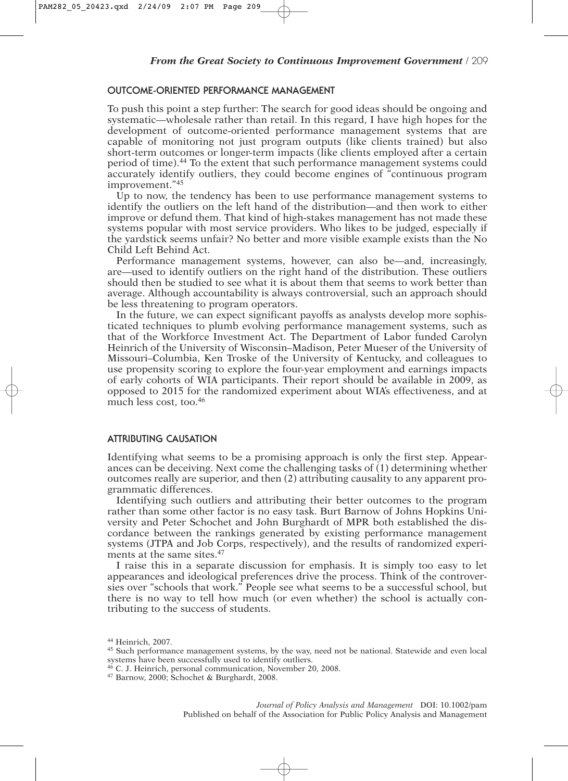### **OUTCOME-ORIENTED PERFORMANCE MANAGEMENT**

To push this point a step further: The search for good ideas should be ongoing and systematic—wholesale rather than retail. In this regard, I have high hopes for the development of outcome-oriented performance management systems that are capable of monitoring not just program outputs (like clients trained) but also short-term outcomes or longer-term impacts (like clients employed after a certain period of time).44 To the extent that such performance management systems could accurately identify outliers, they could become engines of "continuous program improvement."45

Up to now, the tendency has been to use performance management systems to identify the outliers on the left hand of the distribution—and then work to either improve or defund them. That kind of high-stakes management has not made these systems popular with most service providers. Who likes to be judged, especially if the yardstick seems unfair? No better and more visible example exists than the No Child Left Behind Act.

Performance management systems, however, can also be—and, increasingly, are—used to identify outliers on the right hand of the distribution. These outliers should then be studied to see what it is about them that seems to work better than average. Although accountability is always controversial, such an approach should be less threatening to program operators.

In the future, we can expect significant payoffs as analysts develop more sophisticated techniques to plumb evolving performance management systems, such as that of the Workforce Investment Act. The Department of Labor funded Carolyn Heinrich of the University of Wisconsin–Madison, Peter Mueser of the University of Missouri–Columbia, Ken Troske of the University of Kentucky, and colleagues to use propensity scoring to explore the four-year employment and earnings impacts of early cohorts of WIA participants. Their report should be available in 2009, as opposed to 2015 for the randomized experiment about WIA's effectiveness, and at much less cost, too.46

#### **ATTRIBUTING CAUSATION**

Identifying what seems to be a promising approach is only the first step. Appearances can be deceiving. Next come the challenging tasks of (1) determining whether outcomes really are superior, and then (2) attributing causality to any apparent programmatic differences.

Identifying such outliers and attributing their better outcomes to the program rather than some other factor is no easy task. Burt Barnow of Johns Hopkins University and Peter Schochet and John Burghardt of MPR both established the discordance between the rankings generated by existing performance management systems (JTPA and Job Corps, respectively), and the results of randomized experiments at the same sites.<sup>47</sup>

I raise this in a separate discussion for emphasis. It is simply too easy to let appearances and ideological preferences drive the process. Think of the controversies over "schools that work." People see what seems to be a successful school, but there is no way to tell how much (or even whether) the school is actually contributing to the success of students.

<sup>44</sup> Heinrich, 2007.

<sup>45</sup> Such performance management systems, by the way, need not be national. Statewide and even local systems have been successfully used to identify outliers.

<sup>46</sup> C. J. Heinrich, personal communication, November 20, 2008.

<sup>47</sup> Barnow, 2000; Schochet & Burghardt, 2008.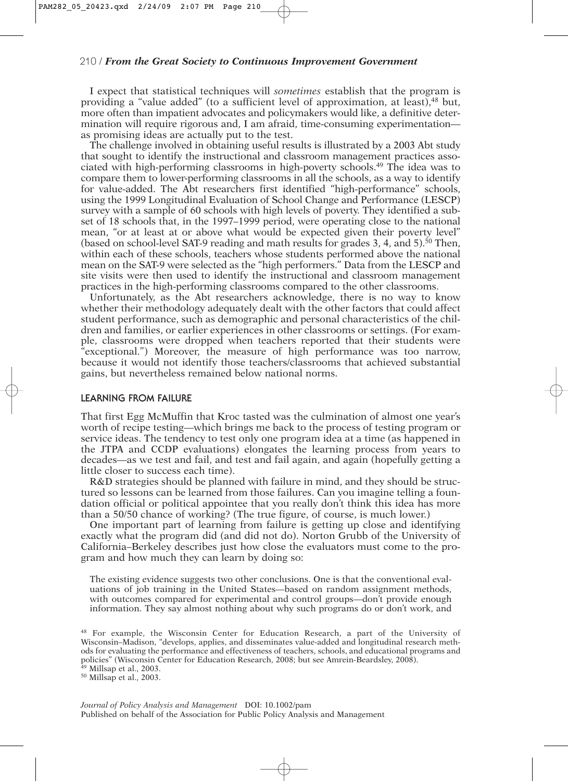I expect that statistical techniques will *sometimes* establish that the program is providing a "value added" (to a sufficient level of approximation, at least),<sup>48</sup> but, more often than impatient advocates and policymakers would like, a definitive determination will require rigorous and, I am afraid, time-consuming experimentation as promising ideas are actually put to the test.

The challenge involved in obtaining useful results is illustrated by a 2003 Abt study that sought to identify the instructional and classroom management practices associated with high-performing classrooms in high-poverty schools.49 The idea was to compare them to lower-performing classrooms in all the schools, as a way to identify for value-added. The Abt researchers first identified "high-performance" schools, using the 1999 Longitudinal Evaluation of School Change and Performance (LESCP) survey with a sample of 60 schools with high levels of poverty. They identified a subset of 18 schools that, in the 1997–1999 period, were operating close to the national mean, "or at least at or above what would be expected given their poverty level" (based on school-level SAT-9 reading and math results for grades 3, 4, and 5).<sup>50</sup> Then, within each of these schools, teachers whose students performed above the national mean on the SAT-9 were selected as the "high performers." Data from the LESCP and site visits were then used to identify the instructional and classroom management practices in the high-performing classrooms compared to the other classrooms.

Unfortunately, as the Abt researchers acknowledge, there is no way to know whether their methodology adequately dealt with the other factors that could affect student performance, such as demographic and personal characteristics of the children and families, or earlier experiences in other classrooms or settings. (For example, classrooms were dropped when teachers reported that their students were "exceptional.") Moreover, the measure of high performance was too narrow, because it would not identify those teachers/classrooms that achieved substantial gains, but nevertheless remained below national norms.

### **LEARNING FROM FAILURE**

That first Egg McMuffin that Kroc tasted was the culmination of almost one year's worth of recipe testing—which brings me back to the process of testing program or service ideas. The tendency to test only one program idea at a time (as happened in the JTPA and CCDP evaluations) elongates the learning process from years to decades—as we test and fail, and test and fail again, and again (hopefully getting a little closer to success each time).

R&D strategies should be planned with failure in mind, and they should be structured so lessons can be learned from those failures. Can you imagine telling a foundation official or political appointee that you really don't think this idea has more than a 50/50 chance of working? (The true figure, of course, is much lower.)

One important part of learning from failure is getting up close and identifying exactly what the program did (and did not do). Norton Grubb of the University of California–Berkeley describes just how close the evaluators must come to the program and how much they can learn by doing so:

The existing evidence suggests two other conclusions. One is that the conventional evaluations of job training in the United States—based on random assignment methods, with outcomes compared for experimental and control groups—don't provide enough information. They say almost nothing about why such programs do or don't work, and

<sup>50</sup> Millsap et al., 2003.

<sup>48</sup> For example, the Wisconsin Center for Education Research, a part of the University of Wisconsin–Madison, "develops, applies, and disseminates value-added and longitudinal research methods for evaluating the performance and effectiveness of teachers, schools, and educational programs and policies" (Wisconsin Center for Education Research, 2008; but see Amrein-Beardsley, 2008).

Millsap et al., 2003.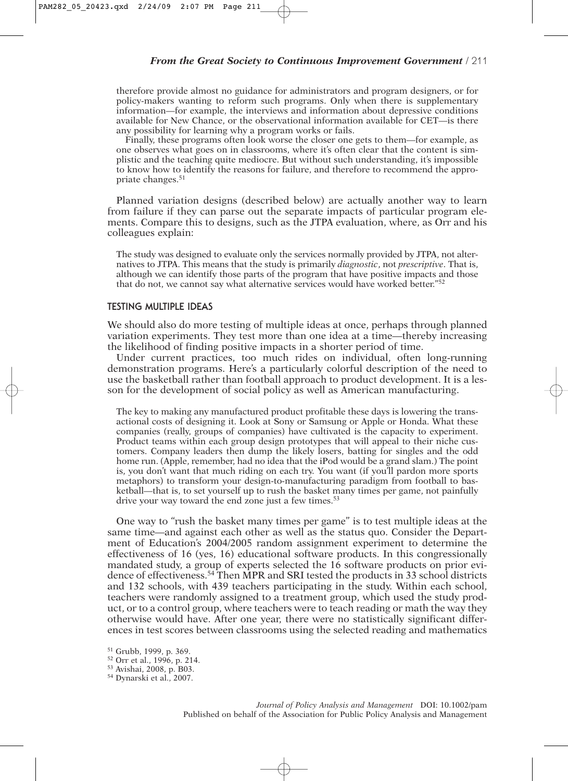therefore provide almost no guidance for administrators and program designers, or for policy-makers wanting to reform such programs. Only when there is supplementary information—for example, the interviews and information about depressive conditions available for New Chance, or the observational information available for CET—is there any possibility for learning why a program works or fails.

Finally, these programs often look worse the closer one gets to them—for example, as one observes what goes on in classrooms, where it's often clear that the content is simplistic and the teaching quite mediocre. But without such understanding, it's impossible to know how to identify the reasons for failure, and therefore to recommend the appropriate changes.51

Planned variation designs (described below) are actually another way to learn from failure if they can parse out the separate impacts of particular program elements. Compare this to designs, such as the JTPA evaluation, where, as Orr and his colleagues explain:

The study was designed to evaluate only the services normally provided by JTPA, not alternatives to JTPA. This means that the study is primarily *diagnostic*, not *prescriptive*. That is, although we can identify those parts of the program that have positive impacts and those that do not, we cannot say what alternative services would have worked better."52

### **TESTING MULTIPLE IDEAS**

We should also do more testing of multiple ideas at once, perhaps through planned variation experiments. They test more than one idea at a time—thereby increasing the likelihood of finding positive impacts in a shorter period of time.

Under current practices, too much rides on individual, often long-running demonstration programs. Here's a particularly colorful description of the need to use the basketball rather than football approach to product development. It is a lesson for the development of social policy as well as American manufacturing.

The key to making any manufactured product profitable these days is lowering the transactional costs of designing it. Look at Sony or Samsung or Apple or Honda. What these companies (really, groups of companies) have cultivated is the capacity to experiment. Product teams within each group design prototypes that will appeal to their niche customers. Company leaders then dump the likely losers, batting for singles and the odd home run. (Apple, remember, had no idea that the iPod would be a grand slam.) The point is, you don't want that much riding on each try. You want (if you'll pardon more sports metaphors) to transform your design-to-manufacturing paradigm from football to basketball—that is, to set yourself up to rush the basket many times per game, not painfully drive your way toward the end zone just a few times.<sup>53</sup>

One way to "rush the basket many times per game" is to test multiple ideas at the same time—and against each other as well as the status quo. Consider the Department of Education's 2004/2005 random assignment experiment to determine the effectiveness of 16 (yes, 16) educational software products. In this congressionally mandated study, a group of experts selected the 16 software products on prior evidence of effectiveness.54 Then MPR and SRI tested the products in 33 school districts and 132 schools, with 439 teachers participating in the study. Within each school, teachers were randomly assigned to a treatment group, which used the study product, or to a control group, where teachers were to teach reading or math the way they otherwise would have. After one year, there were no statistically significant differences in test scores between classrooms using the selected reading and mathematics

<sup>51</sup> Grubb, 1999, p. 369.

<sup>52</sup> Orr et al., 1996, p. 214.

<sup>53</sup> Avishai, 2008, p. B03.

<sup>54</sup> Dynarski et al., 2007.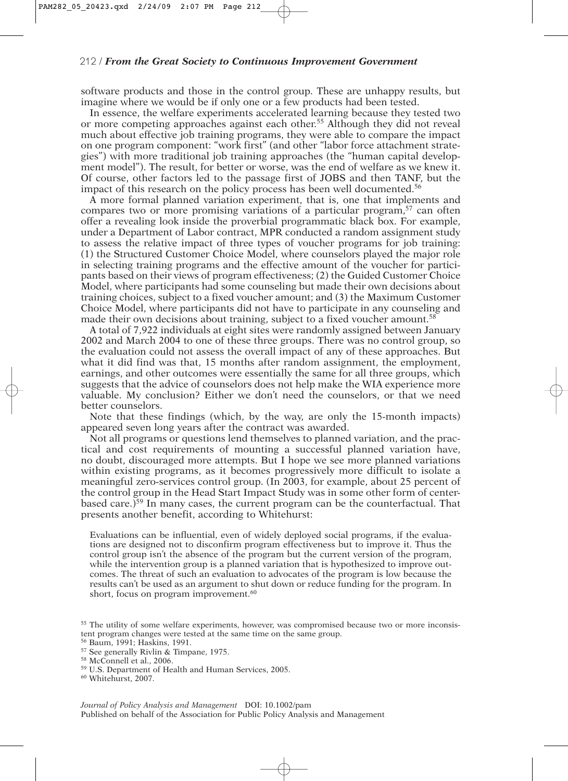software products and those in the control group. These are unhappy results, but imagine where we would be if only one or a few products had been tested.

In essence, the welfare experiments accelerated learning because they tested two or more competing approaches against each other.55 Although they did not reveal much about effective job training programs, they were able to compare the impact on one program component: "work first" (and other "labor force attachment strategies") with more traditional job training approaches (the "human capital development model"). The result, for better or worse, was the end of welfare as we knew it. Of course, other factors led to the passage first of JOBS and then TANF, but the impact of this research on the policy process has been well documented.56

A more formal planned variation experiment, that is, one that implements and compares two or more promising variations of a particular program, $57$  can often offer a revealing look inside the proverbial programmatic black box. For example, under a Department of Labor contract, MPR conducted a random assignment study to assess the relative impact of three types of voucher programs for job training: (1) the Structured Customer Choice Model, where counselors played the major role in selecting training programs and the effective amount of the voucher for participants based on their views of program effectiveness; (2) the Guided Customer Choice Model, where participants had some counseling but made their own decisions about training choices, subject to a fixed voucher amount; and (3) the Maximum Customer Choice Model, where participants did not have to participate in any counseling and made their own decisions about training, subject to a fixed voucher amount.<sup>58</sup>

A total of 7,922 individuals at eight sites were randomly assigned between January 2002 and March 2004 to one of these three groups. There was no control group, so the evaluation could not assess the overall impact of any of these approaches. But what it did find was that, 15 months after random assignment, the employment, earnings, and other outcomes were essentially the same for all three groups, which suggests that the advice of counselors does not help make the WIA experience more valuable. My conclusion? Either we don't need the counselors, or that we need better counselors.

Note that these findings (which, by the way, are only the 15-month impacts) appeared seven long years after the contract was awarded.

Not all programs or questions lend themselves to planned variation, and the practical and cost requirements of mounting a successful planned variation have, no doubt, discouraged more attempts. But I hope we see more planned variations within existing programs, as it becomes progressively more difficult to isolate a meaningful zero-services control group. (In 2003, for example, about 25 percent of the control group in the Head Start Impact Study was in some other form of centerbased care.)<sup>59</sup> In many cases, the current program can be the counterfactual. That presents another benefit, according to Whitehurst:

Evaluations can be influential, even of widely deployed social programs, if the evaluations are designed not to disconfirm program effectiveness but to improve it. Thus the control group isn't the absence of the program but the current version of the program, while the intervention group is a planned variation that is hypothesized to improve outcomes. The threat of such an evaluation to advocates of the program is low because the results can't be used as an argument to shut down or reduce funding for the program. In short, focus on program improvement.<sup>60</sup>

<sup>60</sup> Whitehurst, 2007.

<sup>55</sup> The utility of some welfare experiments, however, was compromised because two or more inconsistent program changes were tested at the same time on the same group.

<sup>56</sup> Baum, 1991; Haskins, 1991.

<sup>57</sup> See generally Rivlin & Timpane, 1975.

<sup>58</sup> McConnell et al., 2006.

<sup>59</sup> U.S. Department of Health and Human Services, 2005.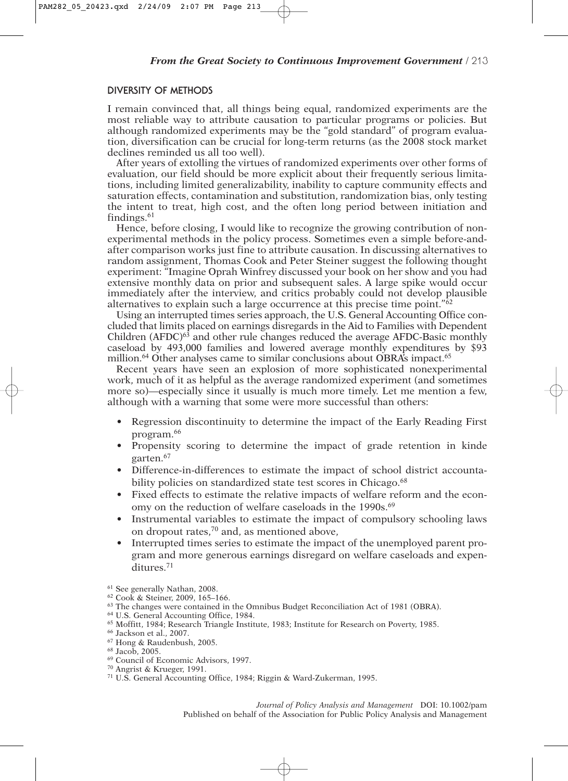# **DIVERSITY OF METHODS**

I remain convinced that, all things being equal, randomized experiments are the most reliable way to attribute causation to particular programs or policies. But although randomized experiments may be the "gold standard" of program evaluation, diversification can be crucial for long-term returns (as the 2008 stock market declines reminded us all too well).

After years of extolling the virtues of randomized experiments over other forms of evaluation, our field should be more explicit about their frequently serious limitations, including limited generalizability, inability to capture community effects and saturation effects, contamination and substitution, randomization bias, only testing the intent to treat, high cost, and the often long period between initiation and findings.<sup>61</sup>

Hence, before closing, I would like to recognize the growing contribution of nonexperimental methods in the policy process. Sometimes even a simple before-andafter comparison works just fine to attribute causation. In discussing alternatives to random assignment, Thomas Cook and Peter Steiner suggest the following thought experiment: "Imagine Oprah Winfrey discussed your book on her show and you had extensive monthly data on prior and subsequent sales. A large spike would occur immediately after the interview, and critics probably could not develop plausible alternatives to explain such a large occurrence at this precise time point."62

Using an interrupted times series approach, the U.S. General Accounting Office concluded that limits placed on earnings disregards in the Aid to Families with Dependent Children  $(AFDC)^{63}$  and other rule changes reduced the average AFDC-Basic monthly caseload by 493,000 families and lowered average monthly expenditures by \$93 million.<sup>64</sup> Other analyses came to similar conclusions about OBRA's impact.<sup>65</sup>

Recent years have seen an explosion of more sophisticated nonexperimental work, much of it as helpful as the average randomized experiment (and sometimes more so)—especially since it usually is much more timely. Let me mention a few, although with a warning that some were more successful than others:

- Regression discontinuity to determine the impact of the Early Reading First program.66
- Propensity scoring to determine the impact of grade retention in kinde garten.67
- Difference-in-differences to estimate the impact of school district accountability policies on standardized state test scores in Chicago.<sup>68</sup>
- Fixed effects to estimate the relative impacts of welfare reform and the economy on the reduction of welfare caseloads in the 1990s.<sup>69</sup>
- Instrumental variables to estimate the impact of compulsory schooling laws on dropout rates,70 and, as mentioned above,
- Interrupted times series to estimate the impact of the unemployed parent program and more generous earnings disregard on welfare caseloads and expenditures.71

- <sup>63</sup> The changes were contained in the Omnibus Budget Reconciliation Act of 1981 (OBRA).
- <sup>64</sup> U.S. General Accounting Office, 1984.
- <sup>65</sup> Moffitt, 1984; Research Triangle Institute, 1983; Institute for Research on Poverty, 1985.

- <sup>67</sup> Hong & Raudenbush, 2005.
- $68$  Jacob, 2005.
- <sup>69</sup> Council of Economic Advisors, 1997.

<sup>71</sup> U.S. General Accounting Office, 1984; Riggin & Ward-Zukerman, 1995.

<sup>61</sup> See generally Nathan, 2008.

<sup>62</sup> Cook & Steiner, 2009, 165–166.

<sup>66</sup> Jackson et al., 2007.

<sup>70</sup> Angrist & Krueger, 1991.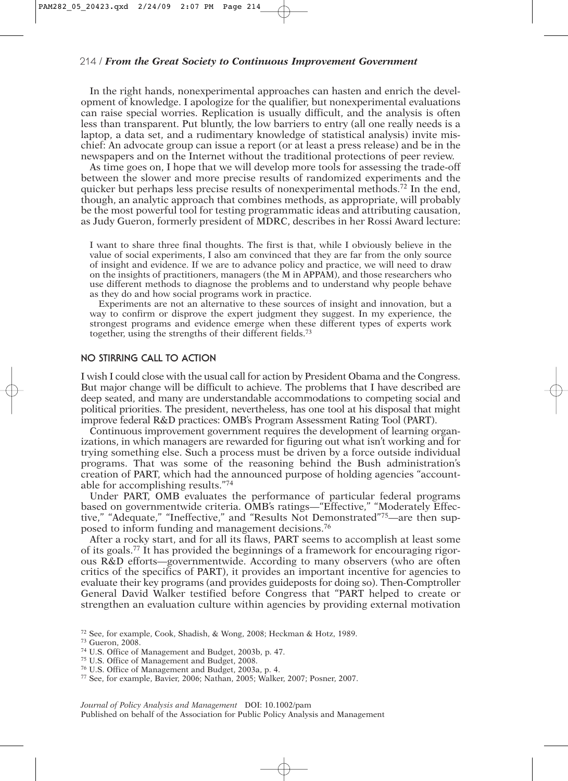In the right hands, nonexperimental approaches can hasten and enrich the development of knowledge. I apologize for the qualifier, but nonexperimental evaluations can raise special worries. Replication is usually difficult, and the analysis is often less than transparent. Put bluntly, the low barriers to entry (all one really needs is a laptop, a data set, and a rudimentary knowledge of statistical analysis) invite mischief: An advocate group can issue a report (or at least a press release) and be in the newspapers and on the Internet without the traditional protections of peer review.

As time goes on, I hope that we will develop more tools for assessing the trade-off between the slower and more precise results of randomized experiments and the quicker but perhaps less precise results of nonexperimental methods.72 In the end, though, an analytic approach that combines methods, as appropriate, will probably be the most powerful tool for testing programmatic ideas and attributing causation, as Judy Gueron, formerly president of MDRC, describes in her Rossi Award lecture:

I want to share three final thoughts. The first is that, while I obviously believe in the value of social experiments, I also am convinced that they are far from the only source of insight and evidence. If we are to advance policy and practice, we will need to draw on the insights of practitioners, managers (the M in APPAM), and those researchers who use different methods to diagnose the problems and to understand why people behave as they do and how social programs work in practice.

Experiments are not an alternative to these sources of insight and innovation, but a way to confirm or disprove the expert judgment they suggest. In my experience, the strongest programs and evidence emerge when these different types of experts work together, using the strengths of their different fields.73

### **NO STIRRING CALL TO ACTION**

I wish I could close with the usual call for action by President Obama and the Congress. But major change will be difficult to achieve. The problems that I have described are deep seated, and many are understandable accommodations to competing social and political priorities. The president, nevertheless, has one tool at his disposal that might improve federal R&D practices: OMB's Program Assessment Rating Tool (PART).

Continuous improvement government requires the development of learning organizations, in which managers are rewarded for figuring out what isn't working and for trying something else. Such a process must be driven by a force outside individual programs. That was some of the reasoning behind the Bush administration's creation of PART, which had the announced purpose of holding agencies "accountable for accomplishing results."74

Under PART, OMB evaluates the performance of particular federal programs based on governmentwide criteria. OMB's ratings—"Effective," "Moderately Effective," "Adequate," "Ineffective," and "Results Not Demonstrated"75—are then supposed to inform funding and management decisions.76

After a rocky start, and for all its flaws, PART seems to accomplish at least some of its goals.77 It has provided the beginnings of a framework for encouraging rigorous R&D efforts—governmentwide. According to many observers (who are often critics of the specifics of PART), it provides an important incentive for agencies to evaluate their key programs (and provides guideposts for doing so). Then-Comptroller General David Walker testified before Congress that "PART helped to create or strengthen an evaluation culture within agencies by providing external motivation

<sup>73</sup> Gueron, 2008.

<sup>72</sup> See, for example, Cook, Shadish, & Wong, 2008; Heckman & Hotz, 1989.

<sup>74</sup> U.S. Office of Management and Budget, 2003b, p. 47.

<sup>75</sup> U.S. Office of Management and Budget, 2008.

<sup>76</sup> U.S. Office of Management and Budget, 2003a, p. 4.

<sup>77</sup> See, for example, Bavier, 2006; Nathan, 2005; Walker, 2007; Posner, 2007.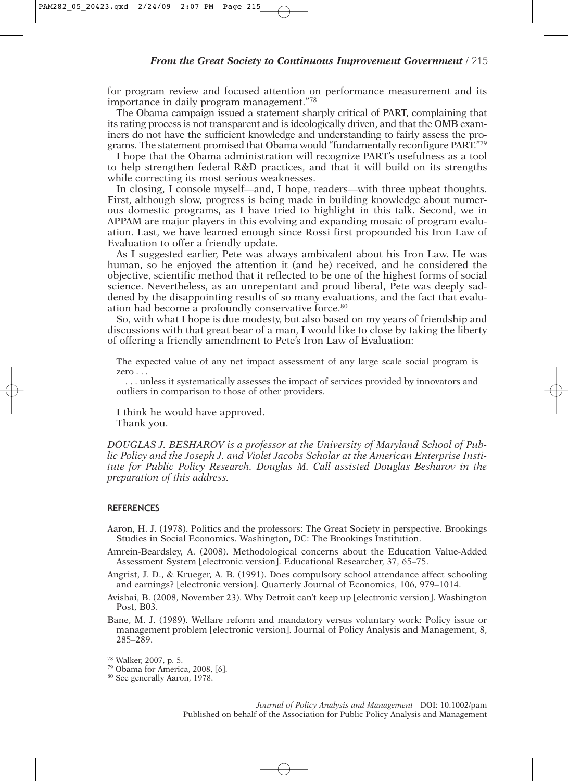for program review and focused attention on performance measurement and its importance in daily program management."78

The Obama campaign issued a statement sharply critical of PART, complaining that its rating process is not transparent and is ideologically driven, and that the OMB examiners do not have the sufficient knowledge and understanding to fairly assess the programs. The statement promised that Obama would "fundamentally reconfigure PART."79

I hope that the Obama administration will recognize PART's usefulness as a tool to help strengthen federal R&D practices, and that it will build on its strengths while correcting its most serious weaknesses.

In closing, I console myself—and, I hope, readers—with three upbeat thoughts. First, although slow, progress is being made in building knowledge about numerous domestic programs, as I have tried to highlight in this talk. Second, we in APPAM are major players in this evolving and expanding mosaic of program evaluation. Last, we have learned enough since Rossi first propounded his Iron Law of Evaluation to offer a friendly update.

As I suggested earlier, Pete was always ambivalent about his Iron Law. He was human, so he enjoyed the attention it (and he) received, and he considered the objective, scientific method that it reflected to be one of the highest forms of social science. Nevertheless, as an unrepentant and proud liberal, Pete was deeply saddened by the disappointing results of so many evaluations, and the fact that evaluation had become a profoundly conservative force.<sup>80</sup>

So, with what I hope is due modesty, but also based on my years of friendship and discussions with that great bear of a man, I would like to close by taking the liberty of offering a friendly amendment to Pete's Iron Law of Evaluation:

The expected value of any net impact assessment of any large scale social program is zero . . .

. . . unless it systematically assesses the impact of services provided by innovators and outliers in comparison to those of other providers.

I think he would have approved. Thank you.

*DOUGLAS J. BESHAROV is a professor at the University of Maryland School of Public Policy and the Joseph J. and Violet Jacobs Scholar at the American Enterprise Institute for Public Policy Research. Douglas M. Call assisted Douglas Besharov in the preparation of this address.*

# **REFERENCES**

- Aaron, H. J. (1978). Politics and the professors: The Great Society in perspective. Brookings Studies in Social Economics. Washington, DC: The Brookings Institution.
- Amrein-Beardsley, A. (2008). Methodological concerns about the Education Value-Added Assessment System [electronic version]. Educational Researcher, 37, 65–75.
- Angrist, J. D., & Krueger, A. B. (1991). Does compulsory school attendance affect schooling and earnings? [electronic version]. Quarterly Journal of Economics, 106, 979–1014.
- Avishai, B. (2008, November 23). Why Detroit can't keep up [electronic version]. Washington Post, B03.
- Bane, M. J. (1989). Welfare reform and mandatory versus voluntary work: Policy issue or management problem [electronic version]. Journal of Policy Analysis and Management, 8, 285–289.

<sup>79</sup> Obama for America, 2008, [6].

<sup>78</sup> Walker, 2007, p. 5.

<sup>80</sup> See generally Aaron, 1978.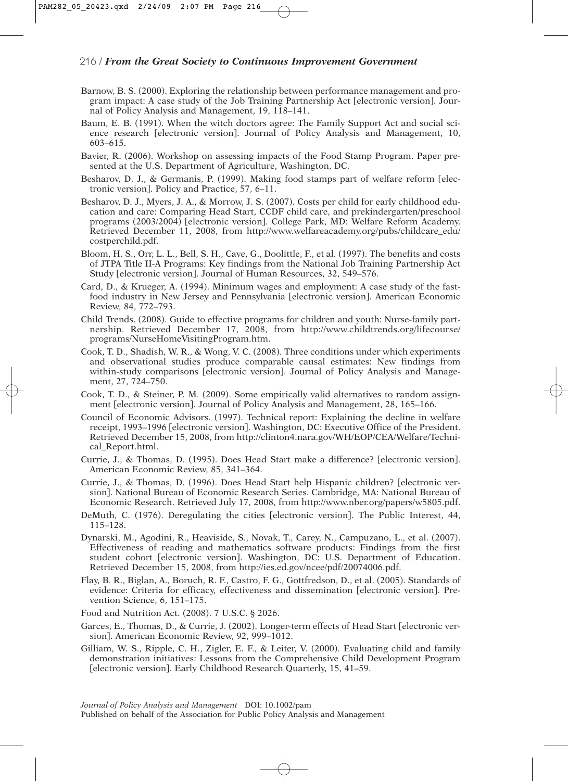- Barnow, B. S. (2000). Exploring the relationship between performance management and program impact: A case study of the Job Training Partnership Act [electronic version]. Journal of Policy Analysis and Management, 19, 118–141.
- Baum, E. B. (1991). When the witch doctors agree: The Family Support Act and social science research [electronic version]. Journal of Policy Analysis and Management, 10, 603–615.
- Bavier, R. (2006). Workshop on assessing impacts of the Food Stamp Program. Paper presented at the U.S. Department of Agriculture, Washington, DC.
- Besharov, D. J., & Germanis, P. (1999). Making food stamps part of welfare reform [electronic version]. Policy and Practice, 57, 6–11.
- Besharov, D. J., Myers, J. A., & Morrow, J. S. (2007). Costs per child for early childhood education and care: Comparing Head Start, CCDF child care, and prekindergarten/preschool programs (2003/2004) [electronic version]. College Park, MD: Welfare Reform Academy. Retrieved December 11, 2008, from http://www.welfareacademy.org/pubs/childcare\_edu/ costperchild.pdf.
- Bloom, H. S., Orr, L. L., Bell, S. H., Cave, G., Doolittle, F., et al. (1997). The benefits and costs of JTPA Title II-A Programs: Key findings from the National Job Training Partnership Act Study [electronic version]. Journal of Human Resources, 32, 549–576.
- Card, D., & Krueger, A. (1994). Minimum wages and employment: A case study of the fastfood industry in New Jersey and Pennsylvania [electronic version]. American Economic Review, 84, 772–793.
- Child Trends. (2008). Guide to effective programs for children and youth: Nurse-family partnership. Retrieved December 17, 2008, from http://www.childtrends.org/lifecourse/ programs/NurseHomeVisitingProgram.htm.
- Cook, T. D., Shadish, W. R., & Wong, V. C. (2008). Three conditions under which experiments and observational studies produce comparable causal estimates: New findings from within-study comparisons [electronic version]. Journal of Policy Analysis and Management, 27, 724–750.
- Cook, T. D., & Steiner, P. M. (2009). Some empirically valid alternatives to random assignment [electronic version]. Journal of Policy Analysis and Management, 28, 165–166.
- Council of Economic Advisors. (1997). Technical report: Explaining the decline in welfare receipt, 1993–1996 [electronic version]. Washington, DC: Executive Office of the President. Retrieved December 15, 2008, from http://clinton4.nara.gov/WH/EOP/CEA/Welfare/Technical\_Report.html.
- Currie, J., & Thomas, D. (1995). Does Head Start make a difference? [electronic version]. American Economic Review, 85, 341–364.
- Currie, J., & Thomas, D. (1996). Does Head Start help Hispanic children? [electronic version]. National Bureau of Economic Research Series. Cambridge, MA: National Bureau of Economic Research. Retrieved July 17, 2008, from http://www.nber.org/papers/w5805.pdf.
- DeMuth, C. (1976). Deregulating the cities [electronic version]. The Public Interest, 44, 115–128.
- Dynarski, M., Agodini, R., Heaviside, S., Novak, T., Carey, N., Campuzano, L., et al. (2007). Effectiveness of reading and mathematics software products: Findings from the first student cohort [electronic version]. Washington, DC: U.S. Department of Education. Retrieved December 15, 2008, from http://ies.ed.gov/ncee/pdf/20074006.pdf.
- Flay, B. R., Biglan, A., Boruch, R. F., Castro, F. G., Gottfredson, D., et al. (2005). Standards of evidence: Criteria for efficacy, effectiveness and dissemination [electronic version]. Prevention Science, 6, 151–175.
- Food and Nutrition Act. (2008). 7 U.S.C. § 2026.
- Garces, E., Thomas, D., & Currie, J. (2002). Longer-term effects of Head Start [electronic version]. American Economic Review, 92, 999–1012.
- Gilliam, W. S., Ripple, C. H., Zigler, E. F., & Leiter, V. (2000). Evaluating child and family demonstration initiatives: Lessons from the Comprehensive Child Development Program [electronic version]. Early Childhood Research Quarterly, 15, 41–59.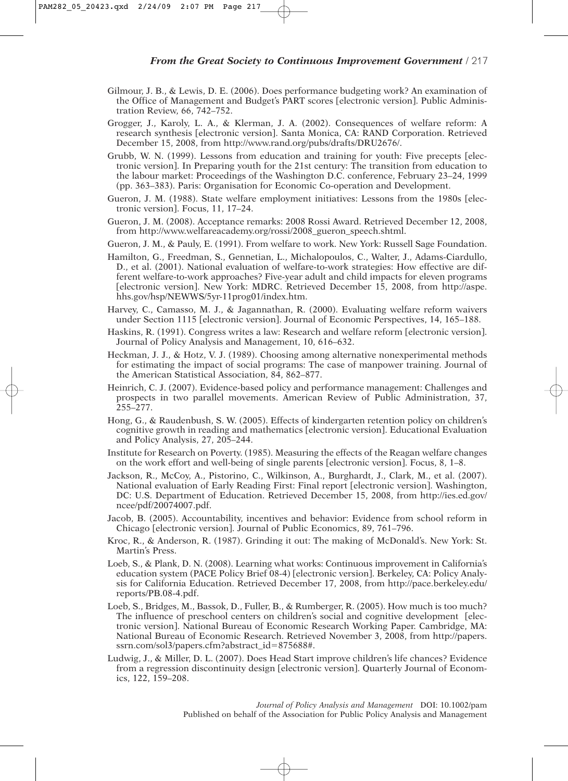- Gilmour, J. B., & Lewis, D. E. (2006). Does performance budgeting work? An examination of the Office of Management and Budget's PART scores [electronic version]. Public Administration Review, 66, 742–752.
- Grogger, J., Karoly, L. A., & Klerman, J. A. (2002). Consequences of welfare reform: A research synthesis [electronic version]. Santa Monica, CA: RAND Corporation. Retrieved December 15, 2008, from http://www.rand.org/pubs/drafts/DRU2676/.
- Grubb, W. N. (1999). Lessons from education and training for youth: Five precepts [electronic version]. In Preparing youth for the 21st century: The transition from education to the labour market: Proceedings of the Washington D.C. conference, February 23–24, 1999 (pp. 363–383). Paris: Organisation for Economic Co-operation and Development.
- Gueron, J. M. (1988). State welfare employment initiatives: Lessons from the 1980s [electronic version]. Focus, 11, 17–24.
- Gueron, J. M. (2008). Acceptance remarks: 2008 Rossi Award. Retrieved December 12, 2008, from http://www.welfareacademy.org/rossi/2008\_gueron\_speech.shtml.
- Gueron, J. M., & Pauly, E. (1991). From welfare to work. New York: Russell Sage Foundation.
- Hamilton, G., Freedman, S., Gennetian, L., Michalopoulos, C., Walter, J., Adams-Ciardullo, D., et al. (2001). National evaluation of welfare-to-work strategies: How effective are different welfare-to-work approaches? Five-year adult and child impacts for eleven programs [electronic version]. New York: MDRC. Retrieved December 15, 2008, from http://aspe. hhs.gov/hsp/NEWWS/5yr-11prog01/index.htm.
- Harvey, C., Camasso, M. J., & Jagannathan, R. (2000). Evaluating welfare reform waivers under Section 1115 [electronic version]. Journal of Economic Perspectives, 14, 165–188.
- Haskins, R. (1991). Congress writes a law: Research and welfare reform [electronic version]. Journal of Policy Analysis and Management, 10, 616–632.
- Heckman, J. J., & Hotz, V. J. (1989). Choosing among alternative nonexperimental methods for estimating the impact of social programs: The case of manpower training. Journal of the American Statistical Association, 84, 862–877.
- Heinrich, C. J. (2007). Evidence-based policy and performance management: Challenges and prospects in two parallel movements. American Review of Public Administration, 37, 255–277.
- Hong, G., & Raudenbush, S. W. (2005). Effects of kindergarten retention policy on children's cognitive growth in reading and mathematics [electronic version]. Educational Evaluation and Policy Analysis, 27, 205–244.
- Institute for Research on Poverty. (1985). Measuring the effects of the Reagan welfare changes on the work effort and well-being of single parents [electronic version]. Focus, 8, 1–8.
- Jackson, R., McCoy, A., Pistorino, C., Wilkinson, A., Burghardt, J., Clark, M., et al. (2007). National evaluation of Early Reading First: Final report [electronic version]. Washington, DC: U.S. Department of Education. Retrieved December 15, 2008, from http://ies.ed.gov/ ncee/pdf/20074007.pdf.
- Jacob, B. (2005). Accountability, incentives and behavior: Evidence from school reform in Chicago [electronic version]. Journal of Public Economics, 89, 761–796.
- Kroc, R., & Anderson, R. (1987). Grinding it out: The making of McDonald's. New York: St. Martin's Press.
- Loeb, S., & Plank, D. N. (2008). Learning what works: Continuous improvement in California's education system (PACE Policy Brief 08-4) [electronic version]. Berkeley, CA: Policy Analysis for California Education. Retrieved December 17, 2008, from http://pace.berkeley.edu/ reports/PB.08-4.pdf.
- Loeb, S., Bridges, M., Bassok, D., Fuller, B., & Rumberger, R. (2005). How much is too much? The influence of preschool centers on children's social and cognitive development [electronic version]. National Bureau of Economic Research Working Paper. Cambridge, MA: National Bureau of Economic Research. Retrieved November 3, 2008, from http://papers. ssrn.com/sol3/papers.cfm?abstract\_id=875688#.
- Ludwig, J., & Miller, D. L. (2007). Does Head Start improve children's life chances? Evidence from a regression discontinuity design [electronic version]. Quarterly Journal of Economics, 122, 159–208.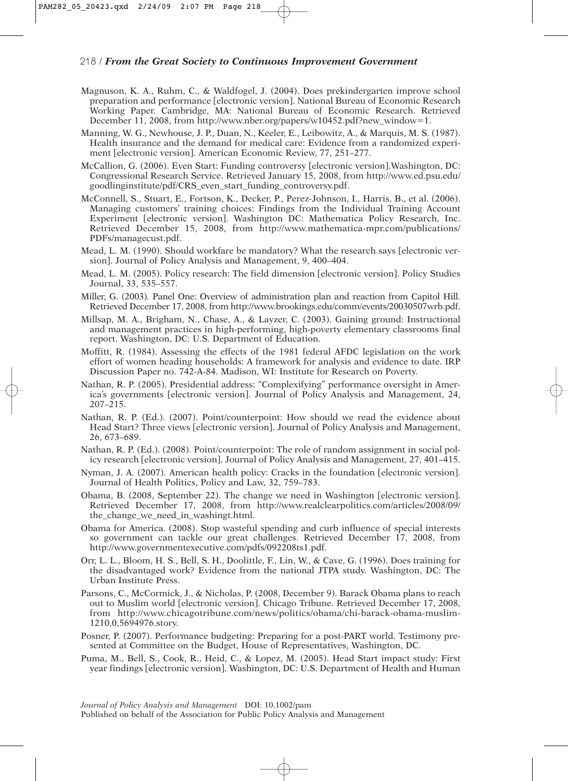- Magnuson, K. A., Ruhm, C., & Waldfogel, J. (2004). Does prekindergarten improve school preparation and performance [electronic version]. National Bureau of Economic Research Working Paper. Cambridge, MA: National Bureau of Economic Research. Retrieved December 11, 2008, from http://www.nber.org/papers/w10452.pdf?new\_window=1.
- Manning, W. G., Newhouse, J. P., Duan, N., Keeler, E., Leibowitz, A., & Marquis, M. S. (1987). Health insurance and the demand for medical care: Evidence from a randomized experiment [electronic version]. American Economic Review, 77, 251–277.
- McCallion, G. (2006). Even Start: Funding controversy [electronic version].Washington, DC: Congressional Research Service. Retrieved January 15, 2008, from http://www.ed.psu.edu/ goodlinginstitute/pdf/CRS\_even\_start\_funding\_controversy.pdf.
- McConnell, S., Stuart, E., Fortson, K., Decker, P., Perez-Johnson, I., Harris, B., et al. (2006). Managing customers' training choices: Findings from the Individual Training Account Experiment [electronic version]. Washington DC: Mathematica Policy Research, Inc. Retrieved December 15, 2008, from http://www.mathematica-mpr.com/publications/ PDFs/managecust.pdf.
- Mead, L. M. (1990). Should workfare be mandatory? What the research says [electronic version]. Journal of Policy Analysis and Management, 9, 400–404.
- Mead, L. M. (2005). Policy research: The field dimension [electronic version]. Policy Studies Journal, 33, 535–557.
- Miller, G. (2003). Panel One: Overview of administration plan and reaction from Capitol Hill. Retrieved December 17, 2008, from http://www.brookings.edu/comm/events/20030507wrb.pdf.
- Millsap, M. A., Brigham, N., Chase, A., & Layzer, C. (2003). Gaining ground: Instructional and management practices in high-performing, high-poverty elementary classrooms final report. Washington, DC: U.S. Department of Education.
- Moffitt, R. (1984). Assessing the effects of the 1981 federal AFDC legislation on the work effort of women heading households: A framework for analysis and evidence to date. IRP Discussion Paper no. 742-A-84. Madison, WI: Institute for Research on Poverty.
- Nathan, R. P. (2005). Presidential address: "Complexifying" performance oversight in America's governments [electronic version]. Journal of Policy Analysis and Management, 24, 207–215.
- Nathan, R. P. (Ed.). (2007). Point/counterpoint: How should we read the evidence about Head Start? Three views [electronic version]. Journal of Policy Analysis and Management, 26, 673–689.
- Nathan, R. P. (Ed.). (2008). Point/counterpoint: The role of random assignment in social policy research [electronic version]. Journal of Policy Analysis and Management, 27, 401–415.
- Nyman, J. A. (2007). American health policy: Cracks in the foundation [electronic version]. Journal of Health Politics, Policy and Law, 32, 759–783.
- Obama, B. (2008, September 22). The change we need in Washington [electronic version]. Retrieved December 17, 2008, from http://www.realclearpolitics.com/articles/2008/09/ the\_change\_we\_need\_in\_washingt.html.
- Obama for America. (2008). Stop wasteful spending and curb influence of special interests so government can tackle our great challenges. Retrieved December 17, 2008, from http://www.governmentexecutive.com/pdfs/092208ts1.pdf.
- Orr, L. L., Bloom, H. S., Bell, S. H., Doolittle, F., Lin, W., & Cave, G. (1996). Does training for the disadvantaged work? Evidence from the national JTPA study. Washington, DC: The Urban Institute Press.
- Parsons, C., McCormick, J., & Nicholas, P. (2008, December 9). Barack Obama plans to reach out to Muslim world [electronic version]. Chicago Tribune. Retrieved December 17, 2008, from http://www.chicagotribune.com/news/politics/obama/chi-barack-obama-muslim-1210,0,5694976.story.
- Posner, P. (2007). Performance budgeting: Preparing for a post-PART world. Testimony presented at Committee on the Budget, House of Representatives, Washington, DC.
- Puma, M., Bell, S., Cook, R., Heid, C., & Lopez, M. (2005). Head Start impact study: First year findings [electronic version]. Washington, DC: U.S. Department of Health and Human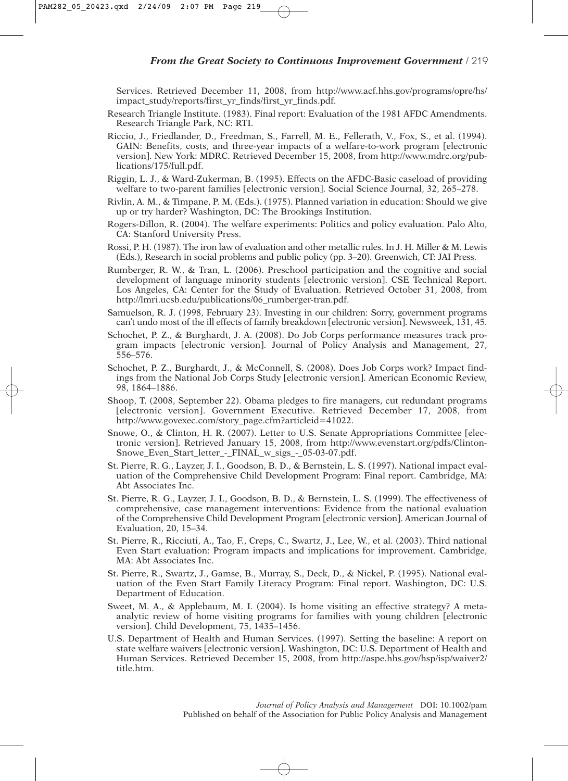Services. Retrieved December 11, 2008, from http://www.acf.hhs.gov/programs/opre/hs/ impact\_study/reports/first\_yr\_finds/first\_yr\_finds.pdf.

- Research Triangle Institute. (1983). Final report: Evaluation of the 1981 AFDC Amendments. Research Triangle Park, NC: RTI.
- Riccio, J., Friedlander, D., Freedman, S., Farrell, M. E., Fellerath, V., Fox, S., et al. (1994). GAIN: Benefits, costs, and three-year impacts of a welfare-to-work program [electronic version]. New York: MDRC. Retrieved December 15, 2008, from http://www.mdrc.org/publications/175/full.pdf.
- Riggin, L. J., & Ward-Zukerman, B. (1995). Effects on the AFDC-Basic caseload of providing welfare to two-parent families [electronic version]. Social Science Journal, 32, 265–278.
- Rivlin, A. M., & Timpane, P. M. (Eds.). (1975). Planned variation in education: Should we give up or try harder? Washington, DC: The Brookings Institution.
- Rogers-Dillon, R. (2004). The welfare experiments: Politics and policy evaluation. Palo Alto, CA: Stanford University Press.
- Rossi, P. H. (1987). The iron law of evaluation and other metallic rules. In J. H. Miller & M. Lewis (Eds.), Research in social problems and public policy (pp. 3–20). Greenwich, CT: JAI Press.
- Rumberger, R. W., & Tran, L. (2006). Preschool participation and the cognitive and social development of language minority students [electronic version]. CSE Technical Report. Los Angeles, CA: Center for the Study of Evaluation. Retrieved October 31, 2008, from http://lmri.ucsb.edu/publications/06\_rumberger-tran.pdf.
- Samuelson, R. J. (1998, February 23). Investing in our children: Sorry, government programs can't undo most of the ill effects of family breakdown [electronic version]. Newsweek, 131, 45.
- Schochet, P. Z., & Burghardt, J. A. (2008). Do Job Corps performance measures track program impacts [electronic version]. Journal of Policy Analysis and Management, 27, 556–576.
- Schochet, P. Z., Burghardt, J., & McConnell, S. (2008). Does Job Corps work? Impact findings from the National Job Corps Study [electronic version]. American Economic Review, 98, 1864–1886.
- Shoop, T. (2008, September 22). Obama pledges to fire managers, cut redundant programs [electronic version]. Government Executive. Retrieved December 17, 2008, from http://www.govexec.com/story\_page.cfm?articleid=41022.
- Snowe, O., & Clinton, H. R. (2007). Letter to U.S. Senate Appropriations Committee [electronic version]. Retrieved January 15, 2008, from http://www.evenstart.org/pdfs/Clinton-Snowe\_Even\_Start\_letter\_-\_FINAL\_w\_sigs\_-\_05-03-07.pdf.
- St. Pierre, R. G., Layzer, J. I., Goodson, B. D., & Bernstein, L. S. (1997). National impact evaluation of the Comprehensive Child Development Program: Final report. Cambridge, MA: Abt Associates Inc.
- St. Pierre, R. G., Layzer, J. I., Goodson, B. D., & Bernstein, L. S. (1999). The effectiveness of comprehensive, case management interventions: Evidence from the national evaluation of the Comprehensive Child Development Program [electronic version]. American Journal of Evaluation, 20, 15–34.
- St. Pierre, R., Ricciuti, A., Tao, F., Creps, C., Swartz, J., Lee, W., et al. (2003). Third national Even Start evaluation: Program impacts and implications for improvement. Cambridge, MA: Abt Associates Inc.
- St. Pierre, R., Swartz, J., Gamse, B., Murray, S., Deck, D., & Nickel, P. (1995). National evaluation of the Even Start Family Literacy Program: Final report. Washington, DC: U.S. Department of Education.
- Sweet, M. A., & Applebaum, M. I. (2004). Is home visiting an effective strategy? A metaanalytic review of home visiting programs for families with young children [electronic version]. Child Development, 75, 1435–1456.
- U.S. Department of Health and Human Services. (1997). Setting the baseline: A report on state welfare waivers [electronic version]. Washington, DC: U.S. Department of Health and Human Services. Retrieved December 15, 2008, from http://aspe.hhs.gov/hsp/isp/waiver2/ title.htm.